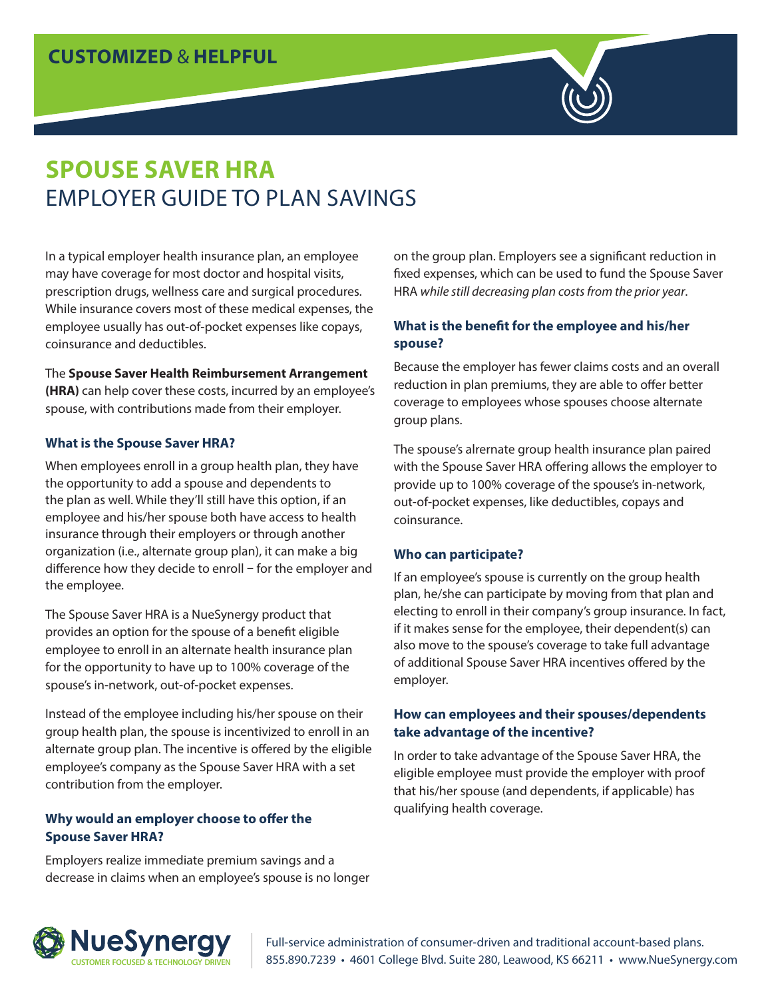# **CUSTOMIZED** & **HELPFUL**



In a typical employer health insurance plan, an employee may have coverage for most doctor and hospital visits, prescription drugs, wellness care and surgical procedures. While insurance covers most of these medical expenses, the employee usually has out-of-pocket expenses like copays, coinsurance and deductibles.

#### The **Spouse Saver Health Reimbursement Arrangement**

**(HRA)** can help cover these costs, incurred by an employee's spouse, with contributions made from their employer.

### **What is the Spouse Saver HRA?**

When employees enroll in a group health plan, they have the opportunity to add a spouse and dependents to the plan as well. While they'll still have this option, if an employee and his/her spouse both have access to health insurance through their employers or through another organization (i.e., alternate group plan), it can make a big difference how they decide to enroll – for the employer and the employee.

The Spouse Saver HRA is a NueSynergy product that provides an option for the spouse of a benefit eligible employee to enroll in an alternate health insurance plan for the opportunity to have up to 100% coverage of the spouse's in-network, out-of-pocket expenses.

Instead of the employee including his/her spouse on their group health plan, the spouse is incentivized to enroll in an alternate group plan. The incentive is offered by the eligible employee's company as the Spouse Saver HRA with a set contribution from the employer.

### **Why would an employer choose to offer the Spouse Saver HRA?**

Employers realize immediate premium savings and a decrease in claims when an employee's spouse is no longer on the group plan. Employers see a significant reduction in fixed expenses, which can be used to fund the Spouse Saver HRA *while still decreasing plan costs from the prior year*.

### **What is the benefit for the employee and his/her spouse?**

Because the employer has fewer claims costs and an overall reduction in plan premiums, they are able to offer better coverage to employees whose spouses choose alternate group plans.

The spouse's alrernate group health insurance plan paired with the Spouse Saver HRA offering allows the employer to provide up to 100% coverage of the spouse's in-network, out-of-pocket expenses, like deductibles, copays and coinsurance.

### **Who can participate?**

If an employee's spouse is currently on the group health plan, he/she can participate by moving from that plan and electing to enroll in their company's group insurance. In fact, if it makes sense for the employee, their dependent(s) can also move to the spouse's coverage to take full advantage of additional Spouse Saver HRA incentives offered by the employer.

### **How can employees and their spouses/dependents take advantage of the incentive?**

In order to take advantage of the Spouse Saver HRA, the eligible employee must provide the employer with proof that his/her spouse (and dependents, if applicable) has qualifying health coverage.